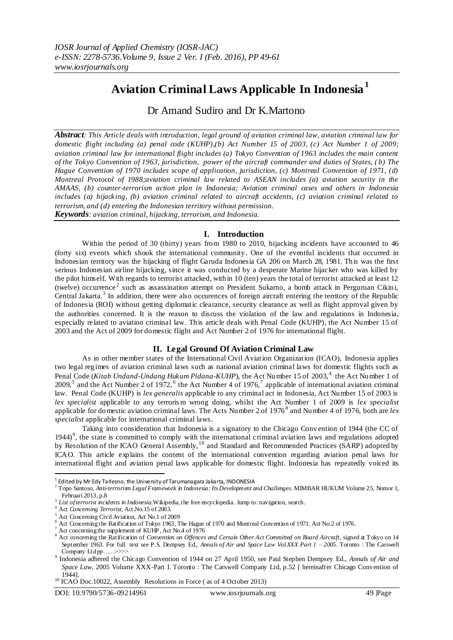# **Aviation Criminal Laws Applicable In Indonesia<sup>1</sup>**

Dr Amand Sudiro and Dr K.Martono

*Abstract: This Article deals with introduction, legal ground of aviation criminal law, aviation criminal law for domestic flight including (a) penal code (KUHP),(b) Act Number 15 of 2003, (c) Act Number 1 of 2009; aviation criminal law for international flight includes (a) Tokyo Convention of 1963 includes the main content of the Tokyo Convention of 1963, jurisdiction, power of the aircraft commander and duties of States, ( b) The Hague Convention of 1970 includes scope of application, jurisdiction, (c) Montreal Convention of 1971, (d) Montreal Protocol of 1988;aviation criminal law related to ASEAN includes (a) aviation security in the AMAAS, (b) counter-terrorism action plan in Indonesia; Aviation criminal cases and others in Indonesia includes (a) hijacking, (b) aviation criminal related to aircraft accidents, (c) aviation criminal related to terrorism, and (d) entering the Indonesian territory without permission. Keywords: aviation criminal, hijacking, terrorism, and Indonesia.*

# **I. Introduction**

Within the period of 30 (thirty) years from 1980 to 2010, hijacking incidents have accounted to 46 (forty six) events which shook the international community. One of the eventful incidents that occurred in Indonesian territory was the hijacking of flight Garuda Indonesia GA 206 on March 28, 1981. This was the first serious Indonesian airline hijacking, since it was conducted by a desperate Marine hijacker who was killed by the pilot himself. With regards to terrorist attacked, within 10 (ten) years the total of terrorist attacked at least 12 (twelve) occurrence<sup>2</sup> such as assassination attempt on President Sukarno, a bomb attack in Perguruan Cikini, Central Jakarta.<sup>3</sup> In addition, there were also occurences of foreign aircraft entering the territory of the Republic of Indonesia (ROI) without getting diplomatic clearance, security clearance as well as flight approval given by the authorities concerned. It is the reason to discuss the violation of the law and regulations in Indonesia, especially related to aviation criminal law. This article deals with Penal Code (KUHP), the Act Number 15 of 2003 and the Act of 2009 for domestic flight and Act Number 2 of 1976 for international flight.

# **II. Legal Ground Of Aviation Criminal Law**

As in other member states of the International Civil Aviation Organization (ICAO), Indonesia applies two legal regimes of aviation criminal laws such as national aviation criminal laws for domestic flights such as Penal Code (*Kitab Undand-Undang Hukum Pidana-KUHP*), the Act Number 15 of 2003,<sup>4</sup> the Act Number 1 of 2009,<sup>5</sup> and the Act Number 2 of 1972,<sup>6</sup> the Act Number 4 of 1976,<sup>7</sup> applicable of international aviation criminal law. Penal Code (KUHP) is *lex generalis* applicable to any criminal act in Indonesia, Act Number 15 of 2003 is *lex specialist* applicable to any terroris m wrong doing, whilst the Act Number 1 of 2009 is *lex specialist* applicable for domestic aviation criminal laws. The Acts Number 2 of 1976<sup>8</sup> and Number 4 of 1976, both are *lex specialist* applicable for international criminal laws.

Taking into consideration that Indonesia is a signatory to the Chicago Conv ention of 1944 (the CC of 1944)<sup>9</sup>, the state is committed to comply with the international criminal aviation laws and regulations adopted by Resolution of the ICAO General Assembly,<sup>10</sup> and Standard and Recommended Practices (SARP) adopted by ICAO. This article explains the content of the international convention regarding aviation penal laws for international flight and aviation penal laws applicable for domestic flight. Indonesia has repeatedly voiced its

 $\overline{a}$ 

 $^1$  Edited by Mr Edy Tarlesno, the University of Tarumanagara Jakarta, INDONESIA

<sup>&</sup>lt;sup>2</sup> Topo Santoso, *Anti-terrorism Legal Framework in Indonesia: Its Development and Challenges.* MIMBAR HUKUM Volume 25, Nomor 1, Februari 2013, p.8

<sup>3</sup> *List of terrorist incidents in Indonesia*.Wikipedia, the free encyclopedia. Jump to: navigation, search.

<sup>&</sup>lt;sup>4</sup> Act *Conceming Terrorist*, Act No.15 of 2003.

<sup>5</sup> Act Concerning Civil Aviation, Act No.1 of 2009

<sup>6</sup> Act Concerning the Ratification of Tokyo 1963, The Hague of 1970 and Montreal Convention of 1971. Act No.2 of 1976.

 $7$  Act concerning the supplement of KUHP, Act No.4 of 1976

<sup>8</sup> Act concerning the Ratification of *Convention on Offences and Certain Other Act Committed on Board Aircraft*, signed at Tokyo on 14 September 1963. For full text see P.S. Dempsey Ed., *Annals of Air and Space Law Vol.XXX Part 1 – 2005*. Toronto : The Carswell Company Ltd pp……>>>>

<sup>9</sup> Indonesia adhered the Chicago Convention of 1944 on 27 April 1950, see Paul Stephen Dempsey Ed., *Annals of Air and Space Law,* 2005 Volume XXX-Part I. Toronto : The Carswell Company Ltd, p.52 [ hereinafter Chicago Convention of 1944].

<sup>&</sup>lt;sup>10</sup> ICAO Doc.10022, Assembly Resolutions in Force (as of 4 October 2013)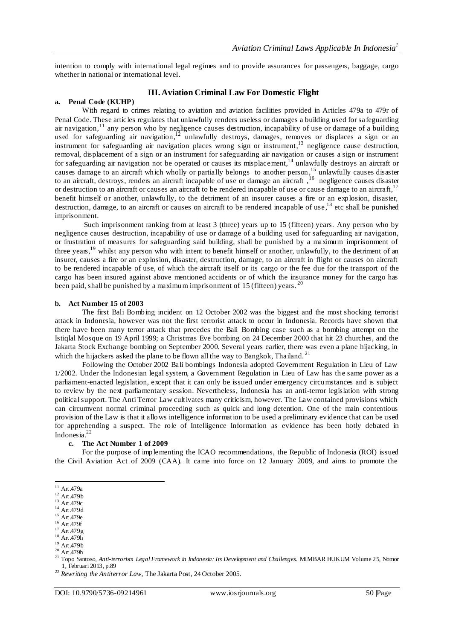intention to comply with international legal regimes and to provide assurances for passengers, baggage, cargo whether in national or international level.

# **III. Aviation Criminal Law For Domestic Flight**

## **a. Penal Code (KUHP)**

With regard to crimes relating to aviation and aviation facilities provided in Articles 479a to 479r of Penal Code. These articles regulates that unlawfully renders useless or damages a building used for safeguarding air navigation,<sup>11</sup> any person who by negligence causes destruction, incapability of use or damage of a building used for safeguarding air navigation,<sup>12</sup> unlawfully destroys, damages, removes or displaces a sign or an instrument for safeguarding air navigation places wrong sign or instrument,<sup>13</sup> negligence cause destruction, removal, displacement of a sign or an instrument for safeguarding air navigation or causes a sign or instrument for safeguarding air navigation not be operated or causes its misplacement,<sup>14</sup> unlawfully destroys an aircraft or causes damage to an aircraft which wholly or partially belongs to another person,<sup>15</sup> unlawfully causes disaster to an aircraft, destroys, renders an aircraft incapable of use or damage an aircraft, <sup>16</sup> negligence causes disaster or destruction to an aircraft or causes an aircraft to be rendered incapable of use or cause damage to an aircraft,  $17$ benefit himself or another, unlawfully, to the detriment of an insurer causes a fire or an explosion, disaster, destruction, damage, to an aircraft or causes on aircraft to be rendered incapable of use,<sup>18</sup> etc shall be punished imprisonment.

Such imprisonment ranking from at least 3 (three) years up to 15 (fifteen) years. Any person who by negligence causes destruction, incapability of use or damage of a building used for safeguarding air navigation, or frustration of measures for safeguarding said building, shall be punished by a maximum imprisonment of three years,<sup>19</sup> whilst any person who with intent to benefit himself or another, unlawfully, to the detriment of an insurer, causes a fire or an explosion, disaster, destruction, damage, to an aircraft in flight or causes on aircraft to be rendered incapable of use, of which the aircraft itself or its cargo or the fee due for the transport of the cargo has been insured against above mentioned accidents or of which the insurance money for the cargo has been paid, shall be punished by a maximum imprisonment of 15 (fifteen) years. <sup>20</sup>

#### **b. Act Number 15 of 2003**

The first Bali Bombing incident on 12 October 2002 was the biggest and the most shocking terrorist attack in Indonesia, however was not the first terrorist attack to occur in Indonesia. Records have shown that there have been many terror attack that precedes the Bali Bombing case such as a bombing attempt on the Istiqlal Mosque on 19 April 1999; a Christmas Eve bombing on 24 December 2000 that hit 23 churches, and the Jakarta Stock Exchange bombing on September 2000. Several years earlier, there was even a plane hijacking, in which the hijackers asked the plane to be flown all the way to Bangkok, Thailand.<sup>21</sup>

Following the October 2002 Bali bombings Indonesia adopted Government Regulation in Lieu of Law 1/2002. Under the Indonesian legal system, a Government Regulation in Lieu of Law has th e same power as a parliament-enacted legislation, except that it can only be issued under emergency circumstances and is subject to review by the next parliamentary session. Nevertheless, Indonesia has an anti-terror legislation with strong political support. The Anti Terror Law cultivates many criticism, however. The Law contained provisions which can circumvent normal criminal proceeding such as quick and long detention. One of the main contentious provision of the Law is that it allows intelligence information to be used a preliminary evidence that can be used for apprehending a suspect. The role of Intelligence Information as evidence has been hotly debated in Indonesia.<sup>22</sup>

## **c. The Act Number 1 of 2009**

For the purpose of implementing the ICAO recommendations, the Republic of Indonesia (ROI) issued the Civil Aviation Act of 2009 (CAA). It came into force on 12 January 2009, and aims to promote the

 $\overline{a}$  $11$  Art.479a

 $12$  Art.479b

 $13$  Art. 479c

 $^{14}$  Art. 479d

<sup>15</sup> Art.479e

 $16$  Art.479f  $^{17}$  Art. 479g

 $18$  Art.479h

<sup>19</sup> Art.479b

 $20$  Art.479h

<sup>&</sup>lt;sup>21</sup> Topo Santoso, *Anti-terrorism Legal Framework in Indonesia: Its Development and Challenges. MIMBAR HUKUM Volume 25, Nomor* 1, Februari 2013, p.89

<sup>22</sup> *Rewriting the Antiterror Law,* The Jakarta Post, 24 October 2005.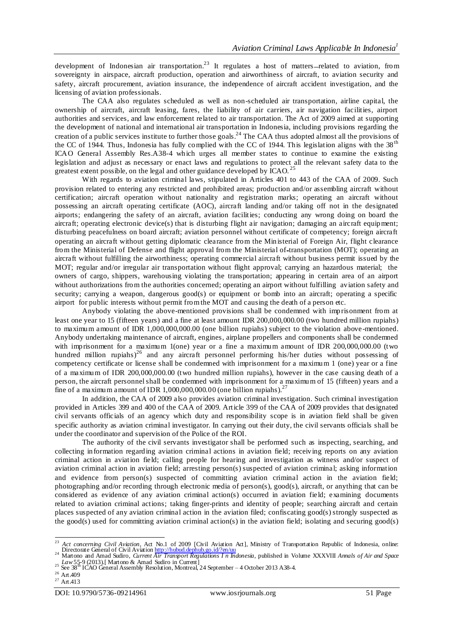development of Indonesian air transportation.<sup>23</sup> It regulates a host of matters-related to aviation, from sovereignty in airspace, aircraft production, operation and airworthiness of aircraft, to aviation security and safety, aircraft procurement, aviation insurance, the independence of aircraft accident investigation, and the licensing of aviation professionals.

The CAA also regulates scheduled as well as non-scheduled air transportation, airline capital, the ownership of aircraft, aircraft leasing, fares, the liability of air carriers, air navigation facilities, airport authorities and services, and law enforcement related to air transportation. The Act of 2009 aimed at supporting the development of national and international air transportation in Indonesia, including provisions regarding the creation of a public services institute to further those goals.<sup>24</sup> The CAA thus adopted almost all the provisions of the CC of 1944. Thus, Indonesia has fully complied with the CC of 1944. This legislation aligns with the 38<sup>th</sup> ICAO General Assembly Res.A38-4 which urges all member states to continue to examine the existing legislation and adjust as necessary or enact laws and regulations to protect all the relevant safety data to the greatest extent possible, on the legal and other guidance developed by  $ICAO$ . <sup>25</sup>

With regards to aviation criminal laws, stipulated in Articles 401 to 443 of the CAA of 2009. Such provision related to entering any restricted and prohibited areas; production and/or assembling aircraft without certification; aircraft operation without nationality and registration marks; operating an aircraft without possessing an aircraft operating certificate (AOC), aircraft landing and/or taking off not in the designated airports; endangering the safety of an aircraft, aviation facilities; conducting any wrong doing on board the aircraft; operating electronic device(s) that is disturbing flight air navigation; damaging an aircraft equipment; disturbing peacefulness on board aircraft; aviation personnel without certificate of competency; foreign aircraft operating an aircraft without getting diplomatic clearance from the Ministerial of Foreign Air, flight clearance from the Ministerial of Defense and flight approval from the Ministerial of transportation (MOT); operating an aircraft without fulfilling the airworthiness; operating commercial aircraft without business permit issued by the MOT; regular and/or irregular air transportation without flight approval; carrying an hazardous material; the owners of cargo, shippers, warehousing violating the transportation; appearing in certain area of an airport without authorizations from the authorities concerned; operating an airport without fulfilling aviation safety and security; carrying a weapon, dangerous good(s) or equipment or bomb into an aircraft; operating a specific airport for public interests without permit from the MOT and causing the death of a person etc.

Anybody violating the above-mentioned provisions shall be condemned with imprisonment from at least one year to 15 (fifteen years) and a fine at least amount IDR 200,000,000.00 (two hundred million rupiahs) to maximum amount of IDR 1,000,000,000.00 (one billion rupiahs) subject to the violation above-mentioned. Anybody undertaking maintenance of aircraft, engines, airplane propellers and components shall be condemned with imprisonment for a maximum 1(one) year or a fine a maximum amount of IDR 200,000,000.00 (two hundred million rupiahs)<sup>26</sup> and any aircraft personnel performing his/her duties without possessing of competency certificate or license shall be condemned with imprisonment for a maximum 1 (one) year or a fine of a maximum of IDR 200,000,000.00 (two hundred million rupiahs), however in the case causing death of a person, the aircraft personnel shall be condemned with imprisonment for a maximum of 15 (fifteen) years and a fine of a maximum amount of IDR 1,000,000,000.00 (one billion rupiahs).<sup>27</sup>

In addition, the CAA of 2009 also provides aviation criminal investigation. Such criminal investigation provided in Articles 399 and 400 of the CAA of 2009. Article 399 of the CAA of 2009 provides that designated civil servants officials of an agency which duty and responsibility scope is in aviation field shall be given specific authority as aviation criminal investigator. In carrying out their duty, the civil servants officials shall be under the coordinator and supervision of the Police of the ROI.

The authority of the civil servants investigator shall be performed such as inspecting, searching, and collecting information regarding aviation criminal actions in aviation field; receiving reports on any aviation criminal action in aviation field; calling people for hearing and investigation as witness and/or suspect of aviation criminal action in aviation field; arresting person(s) suspected of aviation criminal; asking information and evidence from person(s) suspected of committing aviation criminal action in the aviation field; photographing and/or recording through electronic media of person(s), good(s), aircraft, or anything that can be considered as evidence of any aviation criminal action(s) occurred in aviation field; examining documents related to aviation criminal actions; taking finger-prints and identity of people; searching aircraft and certain places suspected of any aviation criminal action in the aviation filed; confiscating good(s) strongly suspected as the good(s) used for committing aviation criminal action(s) in the aviation field; isolating and securing good(s)

<sup>&</sup>lt;sup>23</sup> *Act concerning Civil Aviation*, Act No.1 of 2009 [Civil Aviation Act], Ministry of Transportation Republic of Indonesia, online: Directorate General of Civil Aviatio[n http://hubud.dephub.go.id/?en/uu](http://hubud.dephub.go.id/?en/uu) <sup>24</sup> Martono and Amad Sudiro, *Current Air Transport Regulations I n Indonesia,* published in Volume XXXVIII *Annals of Air and Space* 

<sup>&</sup>lt;sup>25</sup> See 38<sup>th</sup> ICAO General Assembly Resolution, Montreal, 24 September – 4 October 2013 A38-4.

<sup>&</sup>lt;sup>26</sup> Art.409

 $27$  Art.413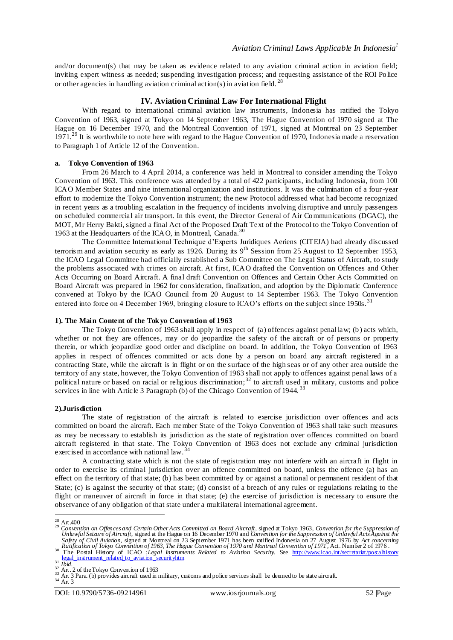and/or document(s) that may be taken as evidence related to any aviation criminal action in aviation field; inviting expert witness as needed; suspending investigation process; and requesting assistance of the ROI Police or other agencies in handling aviation criminal action(s) in aviation field.<sup>28</sup>

# **IV. Aviation Criminal Law For International Flight**

With regard to international criminal aviation law instruments, Indonesia has ratified the Tokyo Convention of 1963, signed at Tokyo on 14 September 1963, The Hague Convention of 1970 signed at The Hague on 16 December 1970, and the Montreal Convention of 1971, signed at Montreal on 23 September 1971.<sup>29</sup> It is worthwhile to note here with regard to the Hague Convention of 1970, Indonesia made a reservation to Paragraph 1 of Article 12 of the Convention.

## **a. Tokyo Convention of 1963**

From 26 March to 4 April 2014, a conference was held in Montreal to consider amending the Tokyo Convention of 1963. This conference was attended by a total of 422 participants, including Indonesia, from 100 ICAO Member States and nine international organization and institutions. It was the culmination of a four-year effort to modernize the Tokyo Convention instrument; the new Protocol addressed what had become recognized in recent years as a troubling escalation in the frequency of incidents involving disruptive and unruly passengers on scheduled commercial air transport. In this event, the Director General of Air Communications (DGAC), the MOT, Mr Herry Bakti, signed a final Act of the Proposed Draft Text of the Protocol to the Tokyo Convention of 1963 at the Headquarters of the ICAO, in Montreal, Canada.<sup>30</sup>

The Committee International Technique d'Experts Juridiques Aeriens (CITEJA) had already discussed terrorism and aviation security as early as 1926. During its  $9<sup>th</sup>$  Session from 25 August to 12 September 1953, the ICAO Legal Committee had officially established a Sub Committee on The Legal Status of Aircraft, to study the problems associated with crimes on aircraft. At first, ICAO drafted the Convention on Offences and Other Acts Occurring on Board Aircraft. A final draft Convention on Offences and Certain Other Acts Committed on Board Aircraft was prepared in 1962 for consideration, finalization, and adoption by the Diplomatic Conference convened at Tokyo by the ICAO Council from 20 August to 14 September 1963. The Tokyo Convention entered into force on 4 December 1969, bringing closure to ICAO's efforts on the subject since 1950s.<sup>31</sup>

## **1). The Main Content of the Tok yo Convention of 1963**

The Tokyo Convention of 1963 shall apply in respect of (a) offences against penal law; (b) acts which, whether or not they are offences, may or do jeopardize the safety of the aircraft or of persons or property therein, or which jeopardize good order and discipline on board. In addition, the Tokyo Convention of 1963 applies in respect of offences committed or acts done by a person on board any aircraft registered in a contracting State, while the aircraft is in flight or on the surface of the high seas or of any other area outside the territory of any state, however, the Tokyo Convention of 1963 shall not apply to offences against penal laws of a political nature or based on racial or religious discrimination; $32$  to aircraft used in military, customs and police services in line with Article 3 Paragraph (b) of the Chicago Convention of 1944.<sup>33</sup>

## **2).Jurisdiction**

The state of registration of the aircraft is related to exercise jurisdiction over offences and acts committed on board the aircraft. Each member State of the Tokyo Convention of 1963 shall take such measures as may be necessary to establish its jurisdiction as the state of registration over offences committed on board aircraft registered in that state. The Tokyo Convention of 1963 does not exclude any criminal jurisdiction exercised in accordance with national law.

A contracting state which is not the state of registration may not interfere with an aircraft in flight in order to exercise its criminal jurisdiction over an offence committed on board, unless the offence (a) has an effect on the territory of that state; (b) has been committed by or against a national or permanent resident of that State; (c) is against the security of that state; (d) consist of a breach of any rules or regulations relating to the flight or maneuver of aircraft in force in that state; (e) the exercise of jurisdiction is necessary to ensure the observance of any obligation of that state under a multilateral international agreement.

<sup>31</sup> <u>[legal\\_instrument\\_related\\_to\\_aviation\\_securityhtm](http://www.icao.int/secretariat/postalhistory%20legal_instrument_related_to_aviation_securityhtm)</u> <sup>31</sup> *Ibid.* 

 $\overline{a}$ 

<sup>&</sup>lt;sup>28</sup> Art 400<br><sup>29</sup> Convention on Offences and Certain Other Acts Committed on Board Aircraft, signed at Tokyo 1963, Convention for the Suppression of<br>Unlawful Seizure of Aircraft, signed at the Hague on 16 December 1970 and Safety of Civil Aviation, signed at Montreal on 23 September 1971 has been ratified Indonesia on 27 August 1976 by Act concerning<br>Ratification of Tokyo Convention of 1963, The Hague Convention of 1970 and Montreal Conventi

<sup>&</sup>lt;sup>32</sup> Art. 2 of the Tokyo Convention of 1963<br><sup>33</sup> Art 3 Para. (b) provides aircraft used in military, customs and police services shall be deemed to be state aircraft.

 $34$  Art 3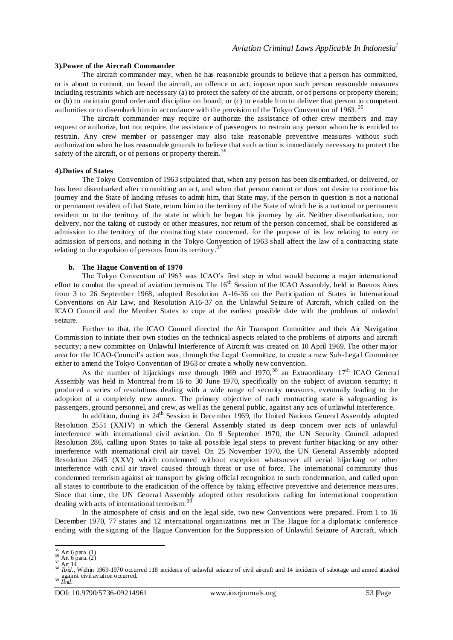## **3).Power of the Aircraft Commander**

The aircraft commander may, when he has reasonable grounds to believe that a person has committed, or is about to commit, on board the aircraft, an offence or act, impose upon such person reasonable measures including restraints which are necessary (a) to protect the safety of the aircraft, or of persons or property therein; or (b) to maintain good order and discipline on board; or (c) to enable him to deliver that person to competent authorities or to disembark him in accordance with the provision of the Tokyo Convention of 1963.<sup>35</sup>

The aircraft commander may require or authorize the assistance of other crew members and may request or authorize, but not require, the assistance of passengers to restrain any person whom he is entitled to restrain. Any crew member or passenger may also take reasonable preventive measures without such authorization when he has reasonable grounds to believe that such action is immediately necessary to protect t he safety of the aircraft, or of persons or property therein.<sup>36</sup>

## **4).Duties of States**

The Tokyo Convention of 1963 stipulated that, when any person has been disembarked, or delivered, or has been disembarked after committing an act, and when that person cann ot or does not desire to continue his journey and the State of landing refuses to admit him, that State may, if the person in question is not a national or permanent resident of that State, return him to the territory of the State of which he is a national or permanent resident or to the territory of the state in which he began his journey by air. Neither disembarkation, nor delivery, nor the taking of custody or other measures, nor return of the person concerned, shall be considered as admission to the territory of the contracting state concerned, for the purpose of its law relating to entry or admission of persons, and nothing in the Tokyo Convention of 1963 shall affect the law of a contracting state relating to the expulsion of persons from its territory.<sup>37</sup>

## **b. The Hague Convention of 1970**

The Tokyo Convention of 1963 was ICAO's first step in what would become a major international effort to combat the spread of aviation terrorism. The 16<sup>th</sup> Session of the ICAO Assembly, held in Buenos Aires from 3 to 26 September 1968, adopted Resolution A-16-36 on the Participation of States in International Conventions on Air Law, and Resolution A16-37 on the Unlawful Seizure of Aircraft, which called on the ICAO Council and the Member States to cope at the earliest possible date with the problems of unlawful seizure.

Further to that, the ICAO Council directed the Air Transport Committee and their Air Navigation Commission to initiate their own studies on the technical aspects related to the problems of airports and aircraft security; a new committee on Unlawful Interference of Aircraft was created on 10 April 1969. The other major area for the ICAO-Council's action was, through the Legal Committee, to create a new Sub -Legal Committee either to amend the Tokyo Convention of 1963 or create a wholly new convention.

As the number of hijackings rose through 1969 and 1970, <sup>38</sup> an Extraordinary  $17<sup>th</sup>$  ICAO General Assembly was held in Montreal from 16 to 30 June 1970, specifically on the subject of aviation security; it produced a series of resolutions dealing with a wide range of security measures, eventually leading to the adoption of a completely new annex. The primary objective of each contracting state is safeguarding its passengers, ground personnel, and crew, as well as the general public, against any acts of unlawful interference.

In addition, during its 24<sup>th</sup> Session in December 1969, the United Nations General Assembly adopted Resolution 2551 (XXIV) in which the General Assembly stated its deep concern over acts of unlawful interference with international civil aviation. On 9 September 1970, the UN Security Council adopted Resolution 286, calling upon States to take all possible legal steps to prevent further hijacking or any other interference with international civil air travel. On 25 November 1970, the UN General Assembly adopted Resolution 2645 (XXV) which condemned without exception whatsoever all aerial hijacking or other interference with civil air travel caused through threat or use of force. The international community thus condemned terrorism against air transport by giving official recognition to such condemnation, and called upon all states to contribute to the eradication of the offence by taking effective preventive and deterrence measures. Since that time, the UN General Assembly adopted other resolutions calling for international cooperation dealing with acts of international terroris m.<sup>39</sup>

In the atmosphere of crisis and on the legal side, two new Conventions were prepared. From 1 to 16 December 1970, 77 states and 12 international organizations met in The Hague for a diplomatic conference ending with the signing of the Hague Convention for the Suppression of Unlawful Seizure of Aircraft, which

 $\frac{35}{36}$  Art 6 para. (1)<br> $\frac{36}{36}$  Art 6 para. (2)

 $^{37}_{20}$  Art 14

<sup>&</sup>lt;sup>38</sup> *Ibid.*, Within 1969-1970 occurred 118 incidents of unlawful seizure of civil aircraft and 14 incidents of sabotage and armed attacked against civil aviation occurred. <sup>39</sup> *Ibid.*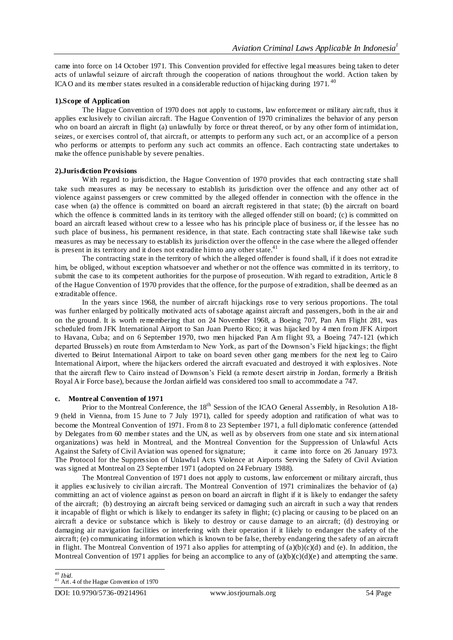came into force on 14 October 1971. This Convention provided for effective legal measures being taken to deter acts of unlawful seizure of aircraft through the cooperation of nations throughout the world. Action taken by ICAO and its member states resulted in a considerable reduction of hijacking during  $1971$ .<sup>40</sup>

## **1).Scope of Application**

The Hague Convention of 1970 does not apply to customs, law enforcement or military aircraft, thus it applies exclusively to civilian aircraft. The Hague Convention of 1970 criminalizes the behavior of any person who on board an aircraft in flight (a) unlawfully by force or threat thereof, or by any other form of intimidation, seizes, or exercises control of, that aircraft, or attempts to perform any such act, or an accomplice of a person who performs or attempts to perform any such act commits an offence. Each contracting state undertakes to make the offence punishable by severe penalties.

## **2).Jurisdiction Provisions**

With regard to jurisdiction, the Hague Convention of 1970 provides that each contracting state shall take such measures as may be necessary to establish its jurisdiction over the offence and any other act of violence against passengers or crew committed by the alleged offender in connection with the offence in the case when (a) the offence is committed on board an aircraft registered in that state; (b) the aircraft on board which the offence is committed lands in its territory with the alleged offender still on board; (c) is committed on board an aircraft leased without crew to a lessee who has his principle place of business or, if the lessee has no such place of business, his permanent residence, in that state. Each contracting state shall likewise take such measures as may be necessary to establish its jurisdiction over the offence in the case where the alleged offender is present in its territory and it does not extradite him to any other state.<sup>41</sup>

The contracting state in the territory of which the alleged offender is found shall, if it does not extradite him, be obliged, without exception whatsoever and whether or not the offence was committed in its territory, to submit the case to its competent authorities for the purpose of prosecution. With regard to extradition, Article 8 of the Hague Convention of 1970 provides that the offence, for the purpose of extradition, shall be deemed as an extraditable offence.

In the years since 1968, the number of aircraft hijackings rose to very serious proportions. The total was further enlarged by politically motivated acts of sabotage against aircraft and passengers, both in the air and on the ground. It is worth remembering that on 24 November 1968, a Boeing 707, Pan Am Flight 281, was scheduled from JFK International Airport to San Juan Puerto Rico; it was hijacked by 4 men from JFK Airport to Havana, Cuba; and on 6 September 1970, two men hijacked Pan Am flight 93, a Boeing 747-121 (which departed Brussels) en route from Amsterdam to New York, as part of the Downson's Field hijackings; the flight diverted to Beirut International Airport to take on board seven other gang members for the next leg to Cairo International Airport, where the hijackers ordered the aircraft evacuated and destroyed it with explosives. Note that the aircraft flew to Cairo instead of Downson's Field (a remote desert airstrip in Jordan, formerly a British Royal Air Force base), because the Jordan airfield was considered too small to accommodate a 747.

## **c. Montreal Convention of 1971**

Prior to the Montreal Conference, the 18<sup>th</sup> Session of the ICAO General Assembly, in Resolution A18-9 (held in Vienna, from 15 June to 7 July 1971), called for speedy adoption and ratification of what was to become the Montreal Convention of 1971. From 8 to 23 September 1971, a full diplomatic conference (attended by Delegates from 60 member states and the UN, as well as by observers from one state and six intern ational organizations) was held in Montreal, and the Montreal Convention for the Suppression of Unlawful Acts Against the Safety of Civil Aviation was opened for signature; it came into force on 26 January 1973. The Protocol for the Suppression of Unlawfu l Acts Violence at Airports Serving the Safety of Civil Aviation was signed at Montreal on 23 September 1971 (adopted on 24 February 1988).

The Montreal Convention of 1971 does not apply to customs, law enforcement or military aircraft, thus it applies exclusively to civilian aircraft. The Montreal Convention of 1971 criminalizes the behavior of (a) committing an act of violence against as person on board an aircraft in flight if it is likely to endanger the safety of the aircraft; (b) destroying an aircraft being serviced or damaging such an aircraft in such a way that renders it incapable of flight or which is likely to endanger its safety in flight; (c) placing or causing to be placed on an aircraft a device or substance which is likely to destroy or cause damage to an aircraft; (d) destroying or damaging air navigation facilities or interfering with their operation if it likely to endanger the safety of the aircraft; (e) communicating information which is known to be false, thereby endangering the safety of an aircraft in flight. The Montreal Convention of 1971 also applies for attempting of  $(a)(b)(c)(d)$  and (e). In addition, the Montreal Convention of 1971 applies for being an accomplice to any of  $(a)(b)(c)(d)(e)$  and attempting the same.

 <sup>40</sup> *Ibid.*

 $41$  Art. 4 of the Hague Convention of 1970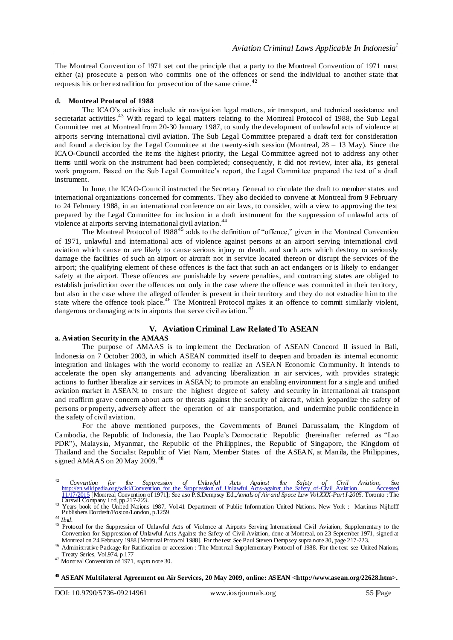The Montreal Convention of 1971 set out the principle that a party to the Montreal Convention of 1971 must either (a) prosecute a person who commits one of the offences or send the individual to another state that requests his or her extradition for prosecution of the same crime.<sup>42</sup>

## **d. Montreal Protocol of 1988**

The ICAO's activities include air navigation legal matters, air transport, and technical assistance and secretariat activities.<sup>43</sup> With regard to legal matters relating to the Montreal Protocol of 1988, the Sub Legal Committee met at Montreal from 20-30 January 1987, to study the development of unlawful acts of violence at airports serving international civil aviation. The Sub Legal Committee prepared a draft text for consideration and found a decision by the Legal Committee at the twenty-sixth session (Montreal,  $28 - 13$  May). Since the ICAO-Council accorded the items the highest priority, the Legal Committee agreed not to address any other items until work on the instrument had been completed; consequently, it did not review, inter alia, its general work program. Based on the Sub Legal Committee's report, the Legal Committee prepared the text of a draft instrument.

In June, the ICAO-Council instructed the Secretary General to circulate the draft to member states and international organizations concerned for comments. They also decided to convene at Montreal from 9 February to 24 February 1988, in an international conference on air laws, to consider, with a view to approving the text prepared by the Legal Committee for inclusion in a draft instrument for the suppression of unlawful acts of violence at airports serving international civil aviation.<sup>44</sup>

The Montreal Protocol of 1988<sup>45</sup> adds to the definition of "offence," given in the Montreal Convention of 1971, unlawful and international acts of violence against persons at an airport serving international civil aviation which cause or are likely to cause serious injury or death, and such acts which destroy or seriously damage the facilities of such an airport or aircraft not in service located thereon or disrupt the services of the airport; the qualifying element of these offences is the fact that such an act endangers or is likely to endanger safety at the airport. These offences are punishable by severe penalties, and contracting states are obliged to establish jurisdiction over the offences not only in the case where the offence was committed in their territory, but also in the case where the alleged offender is present in their territory and they do not extradite him to the state where the offence took place.<sup>46</sup> The Montreal Protocol makes it an offence to commit similarly violent, dangerous or damaging acts in airports that serve civil aviation.<sup>47</sup>

# **V. Aviation Criminal Law Related To ASEAN**

## **a. Aviation Security in the AMAAS**

The purpose of AMAAS is to implement the Declaration of ASEAN Concord II issued in Bali, Indonesia on 7 October 2003, in which ASEAN committed itself to deepen and broaden its internal economic integration and linkages with the world economy to realize an ASEAN Economic Community. It intends to accelerate the open sky arrangements and advancing liberalization in air services, with provides strategic actions to further liberalize air services in ASEAN; to promote an enabling environment for a single and unified aviation market in ASEAN; to ensure the highest degree of safety and security in international air transport and reaffirm grave concern about acts or threats against the security of aircraft, which jeopardize the safety of persons or property, adversely affect the operation of air transportation, and undermine public confidence in the safety of civil aviation.

For the above mentioned purposes, the Governments of Brunei Darussalam, the Kingdom of Cambodia, the Republic of Indonesia, the Lao People's Democratic Republic (hereinafter referred as "Lao PDR"), Malaysia, Myanmar, the Republic of the Philippines, the Republic of Singapore, the Kingdom of Thailand and the Socialist Republic of Viet Nam, Member States of the ASEAN, at Manila, the Philippines, signed AMAAS on 20 May 2009.<sup>48</sup>

 $42$ <sup>42</sup> *Convention for the Suppression of Unlawful Acts Against the Safety of Civil Aviation*, See http://en.wikipedia.org/wiki/Convention\_for\_the\_Suppression\_of\_Unlawful\_Acts-against\_the\_Safety\_of-Civil\_Aviation. Accessed [11/17/2015](http://en.wikipedia.org/wiki/Convention_for_the_Suppression_of_Unlawful_Acts-against_the_Safety_of-Civil_Aviation.%20Accessed%2011/17/2015) [Montreal Convention of 1971]; See aso P.S.Dempsey Ed*.,Annals of Air and Space Law Vol.XXX-Part I-2005*. Toronto : The 11/17/2015 [Montreal Convention c<br>Carswll Company Ltd, pp.217-223.

<sup>&</sup>lt;sup>43</sup> Years book of the United Nations 1987, Vol.41 Department of Public Information United Nations. New York : Martinus Nijhofff Publishers Dordreft/Boston/London, p.1259

*<sup>44</sup> Ibid.*

<sup>&</sup>lt;sup>45</sup> Protocol for the Suppression of Unlawful Acts of Violence at Airports Serving International Civil Aviation, Supplementary to the Convention for Suppression of Unlawful Acts Against the Safety of Civil Aviation, done at Montreal, on 23 September 1971, signed at Montreal on 24 February 1988 [Montreal Protocol 1988]. For the text See Paul Steven Dempsey supra note 30, page 217-223.

<sup>46</sup> Administrative Package for Ratification or accession : The Montreal Supplementary Protocol of 1988. For the text see United Nations, Treaty Series, Vol.974, p.177

<sup>47</sup> Montreal Convention of 1971, *supra* note 30.

**<sup>48</sup> ASEAN Multilateral Agreement on Air Services, 20 May 2009, online: ASEAN <http://www.asean.org/22628.htm>.**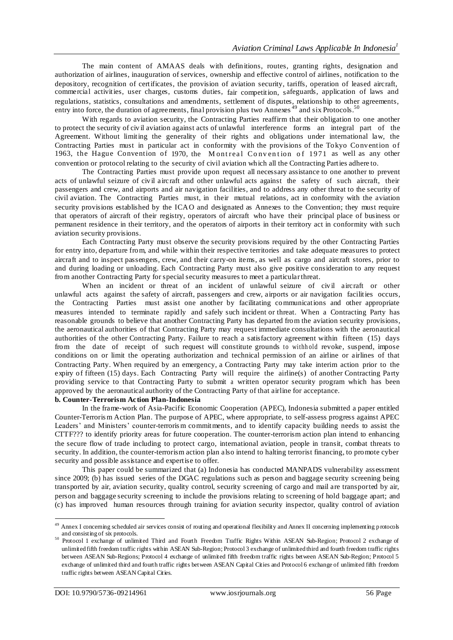The main content of AMAAS deals with definitions, routes, granting rights, designation and authorization of airlines, inauguration of services, ownership and effective control of airlines, notification to the depository, recognition of certificates, the provision of aviation security, tariffs, operation of leased aircraft, commercial activities, user charges, customs duties, fair competition, safeguards, application of laws and regulations, statistics, consultations and amendments, settlement of disputes, relationship to other agreements, entry into force, the duration of agreements, final provision plus two Annexes<sup>49</sup> and six Protocols.<sup>50</sup>

With regards to aviation security, the Contracting Parties reaffirm that their obligation to one another to protect the security of civ il aviation against acts of unlawful interference forms an integral part of the Agreement. Without limiting the generality of their rights and obligations under international law, the Contracting Parties must in particular act in conformity with the provisions of the Tokyo Convention of 1963, the Hague Convention of 1970, the Montreal Convention of 1971 as well as any other convention or protocol relating to the security of civil aviation which all the Contracting Parties adhere to.

The Contracting Parties must provide upon request all necessary assistance to one another to prevent acts of unlawful seizure of civil aircraft and other unlawful acts against the safety of such aircraft, their passengers and crew, and airports and air navigation facilities, and to address any other threat to the security of civil aviation. The Contracting Parties must, in their mutual relations, act in conformity with the aviation security provisions established by the ICAO and designated as Annexes to the Convention; they must require that operators of aircraft of their registry, operators of aircraft who have their principal place of business or permanent residence in their territory, and the operators of airports in their territory act in conformity with such aviation security provisions.

Each Contracting Party must observe the security provisions required by the other Contracting Parties for entry into, departure from, and while within their respective territories and take adequate measures to protect aircraft and to inspect passengers, crew, and their carry-on items, as well as cargo and aircraft stores, prior to and during loading or unloading. Each Contracting Party must also give positive consideration to any request from another Contracting Party for specialsecurity measures to meet a particularthreat.

When an incident or threat of an incident of unlawful seizure of civil aircraft or other unlawful acts against the safety of aircraft, passengers and crew, airports or air navigation facilities occurs, the Contracting Parties must assist one another by facilitating communications and other appropriate measures intended to terminate rapidly and safely such incident or threat. When a Contracting Party has reasonable grounds to believe that another Contracting Party has departed from the aviation security provisions, the aeronautical authorities of that Contracting Party may request immediate consultations with the aeronautical authorities of the other Contracting Party. Failure to reach a satisfactory agreement within fifteen (15) days from the date of receipt of such request will constitute grounds to withh old revoke, suspend, impose conditions on or limit the operating authorization and technical permission of an airline or airlines of that Contracting Party. When required by an emergency, a Contracting Party may take interim action prior to the expiry of fifteen (15) days. Each Contracting Party will require the airline(s) of another Contracting Party providing service to that Contracting Party to submit a written operator security program which has been approved by the aeronautical authority of the Contracting Party of that airline for acceptance. **b. Counter-Terrorism Action Plan-Indonesia**

In the frame-work of Asia-Pacific Economic Cooperation (APEC), Indonesia submitted a paper entitled Counter-Terroris m Action Plan. The purpose of APEC, where appropriate, to self-assess progress against APEC Leaders' and Ministers' counter-terroris m commitments, and to identify capacity building needs to assist the CTTF??? to identify priority areas for future cooperation. The counter-terrorism action plan intend to enhancing the secure flow of trade including to protect cargo, international aviation, people in transit, combat threats to security. In addition, the counter-terrorism action plan also intend to halting terrorist financing, to promote cyber security and possible assistance and expertise to offer.

This paper could be summarized that (a) Indonesia has conducted MANPADS vulnerability ass essment since 2009; (b) has issued series of the DGAC regulations such as person and baggage security screening being transported by air, aviation security, quality control, security screening of cargo and mail are transported by air, person and baggage security screening to include the provisions relating to screening of hold baggage apart; and (c) has improved human resources through training for aviation security inspector, quality control of aviation

 $\overline{a}$  $^{49}$  Annex I concerning scheduled air services consist of routing and operational flexibility and Annex II concerning implementing p rotocols and consisting of six protocols.

<sup>50</sup> Protocol 1 exchange of unlimited Third and Fourth Freedom Traffic Rights Within ASEAN Sub-Region; Protocol 2 exchange of unlimited fifth freedom traffic rights within ASEAN Sub-Region; Protocol 3 exchange of unlimited third and fourth freedom traffic rights between ASEAN Sub-Regions; Protocol 4 exchange of unlimited fifth freedom traffic rights between ASEAN Sub-Region; Protocol 5 exchange of unlimited third and fourth traffic rights between ASEAN Capital Cities and Protocol 6 exchange of unlimited fifth freedom traffic rights between ASEAN Capital Cities.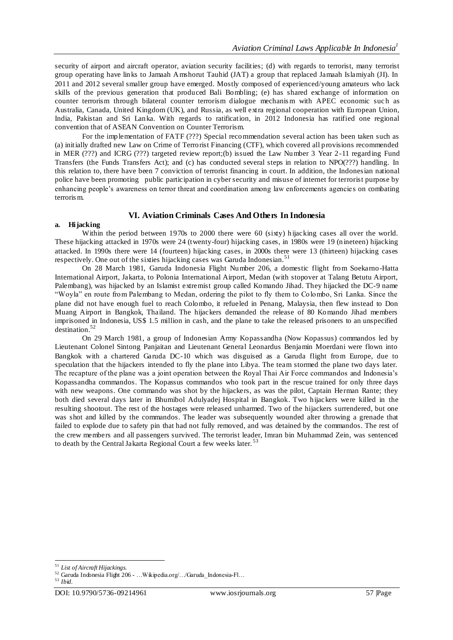security of airport and aircraft operator, aviation security facilities; (d) with regards to terrorist, many terrorist group operating have links to Jamaah Amshorut Tauhid (JAT) a group that replaced Jamaah Islamiyah (JI). In 2011 and 2012 several smaller group have emerged. Mostly composed of experienced/young amateurs who lack skills of the previous generation that produced Bali Bombling; (e) has shared exchange of information on counter terrorism through bilateral counter terrorism dialogue mechanism with APEC economic such as Australia, Canada, United Kingdom (UK), and Russia, as well extra regional cooperation with European Union, India, Pakistan and Sri Lanka. With regards to ratification, in 2012 Indonesia has ratified one regional convention that of ASEAN Convention on Counter Terrorism.

For the implementation of FATF (???) Special recommendation several action has been taken such as (a) initially drafted new Law on Crime of Terrorist Financing (CTF), which covered all provisions recommended in MER (???) and ICRG (???) targeted review report;(b) issued the Law Number 3 Year 2-11 regarding Fund Transfers (the Funds Transfers Act); and (c) has conducted several steps in relation to NPO(???) handling. In this relation to, there have been 7 conviction of terrorist financing in court. In addition, the Indonesian national police have been promoting public participation in cyber security and misuse of internet for terrorist purpose by enhancing people's awareness on terror threat and coordination among law enforcements agencie s on combating terroris m.

# **VI. Aviation Criminals Cases And Others In Indonesia**

## **a. Hijacking**

Within the period between 1970s to 2000 there were 60 (sixty) hijacking cases all over the world. These hijacking attacked in 1970s were 24 (twenty-four) hijacking cases, in 1980s were 19 (nineteen) hijacking attacked. In 1990s there were 14 (fourteen) hijacking cases, in 2000s there were 13 (thirteen) hijacking cases respectively. One out of the sixties hijacking cases was Garuda Indonesian.<sup>51</sup>

On 28 March 1981, Garuda Indonesia Flight Number 206, a domestic flight from Soekarno-Hatta International Airport, Jakarta, to Polonia International Airport, Medan (with stopover at Talang Betutu Airport, Palembang), was hijacked by an Islamist extremist group called Komando Jihad. They hijacked the DC-9 name "Woyla" en route from Palembang to Medan, ordering the pilot to fly them to Colombo, Sri Lanka. Since the plane did not have enough fuel to reach Colombo, it refueled in Penang, Malaysia, then flew instead to Don Muang Airport in Bangkok, Thailand. The hijackers demanded the release of 80 Komando Jihad members imprisoned in Indonesia, US\$ 1.5 million in cash, and the plane to take the released prisoners to an unspecified destination.<sup>52</sup>

On 29 March 1981, a group of Indonesian Army Kopassandha (Now Kopassus) commandos led by Lieutenant Colonel Sintong Panjaitan and Lieutenant General Leonardus Benjamin Moerdani were flown into Bangkok with a chartered Garuda DC-10 which was disguised as a Garuda flight from Europe, due to speculation that the hijackers intended to fly the plane into Libya. The team stormed the plane two days later. The recapture of the plane was a joint operation between the Royal Thai Air Force commandos and Indonesia's Kopassandha commandos. The Kopassus commandos who took part in the rescue trained for only three days with new weapons. One commando was shot by the hijackers, as was the pilot, Captain Herman Rante; they both died several days later in Bhumibol Adulyadej Hospital in Bangkok. Two hijackers were killed in the resulting shootout. The rest of the hostages were released unharmed. Two of the hijackers surrendered, but one was shot and killed by the commandos. The leader was subsequently wounded alter throwing a grenade that failed to explode due to safety pin that had not fully removed, and was detained by the commandos. The rest of the crew members and all passengers survived. The terrorist leader, Imran bin Muhammad Zein, was sentenced to death by the Central Jakarta Regional Court a few weeks later.<sup>53</sup>

 $\overline{a}$ <sup>51</sup> *List of Aircraft Hijackings.*

 $^{52}$  Garuda Indonesia Flight 206 - …Wikipedia.org/.../Garuda\_Indonesia-Fl... $^{53}$   $Ibid$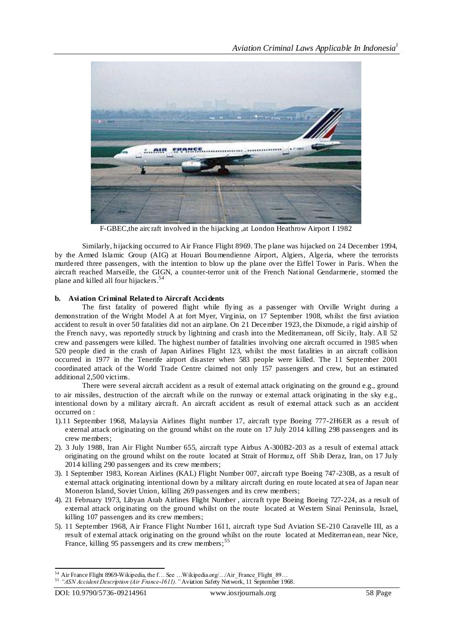

F-GBEC,the aircraft involved in the hijacking ,at London Heathrow Airport I 1982

Similarly, hijacking occurred to Air France Flight 8969. The plane was hijacked on 24 December 1994, by the Armed Islamic Group (AIG) at Houari Boumendienne Airport, Algiers, Algeria, where the terrorists murdered three passengers, with the intention to blow up the plane over the Eiffel Tower in Paris. When the aircraft reached Marseille, the GIGN, a counter-terror unit of the French National Gendarmerie, stormed the plane and killed all four hijackers.<sup>54</sup>

## **b. Aviation Criminal Related to Aircraft Accidents**

The first fatality of powered flight while flying as a passenger with Orville Wright during a demonstration of the Wright Model A at fort Myer, Virginia, on 17 September 1908, whilst the first aviation accident to result in over 50 fatalities did not an airplane. On 21 December 1923, the Dixmude, a rigid airship of the French navy, was reportedly struck by lightning and crash into the Mediterranean, off Sicily, Italy. All 52 crew and passengers were killed. The highest number of fatalities involving one aircraft occurred in 1985 when 520 people died in the crash of Japan Airlines Flight 123, whilst the most fatalities in an aircraft collision occurred in 1977 in the Tenerife airport dis aster when 583 people were killed. The 11 September 2001 coordinated attack of the World Trade Centre claimed not only 157 passengers and crew, but an estimated additional 2,500 victims.

There were several aircraft accident as a result of external attack originating on the ground e.g., ground to air missiles, destruction of the aircraft while on the runway or external attack originating in the sky e.g., intentional down by a military aircraft. An aircraft accident as result of external attack such as an accident occurred on :

- 1).11 September 1968, Malaysia Airlines flight number 17, aircraft type Boeing 777-2H6ER as a result of external attack originating on the ground whilst on the route on 17 July 2014 killing 298 passengers and its crew members;
- 2). 3 July 1988, Iran Air Flight Number 655, aircraft type Airbus A-300B2-203 as a result of external attack originating on the ground whilst on the route located at Strait of Hormuz, off Shib Deraz, Iran, on 17 July 2014 killing 290 passengers and its crew members;
- 3). 1 September 1983, Korean Airlines (KAL) Flight Number 007, aircraft type Boeing 747-230B, as a result of external attack originating intentional down by a military aircraft during en route located at sea of Japan near Moneron Island, Soviet Union, killing 269 passengers and its crew members;
- 4). 21 February 1973, Libyan Arab Airlines Flight Number , aircraft type Boeing Boeing 727-224, as a result of external attack originating on the ground whilst on the route located at Western Sinai Peninsula, Israel, killing 107 passengers and its crew members;
- 5). 11 September 1968, Air France Flight Number 1611, aircraft type Sud Aviation SE-210 Caravelle III, as a result of external attack originating on the ground whilst on the route located at Mediterran ean, near Nice, France, killing 95 passengers and its crew members;<sup>55</sup>

<sup>54</sup> Air France Flight 8969-Wikipedia, the f... See ... Wikipedia.org/../Air\_France\_Flight\_89..

<sup>55 &</sup>quot;ASN Accident Description (Air France-1611). "Aviation Safety Network, 11 September 1968.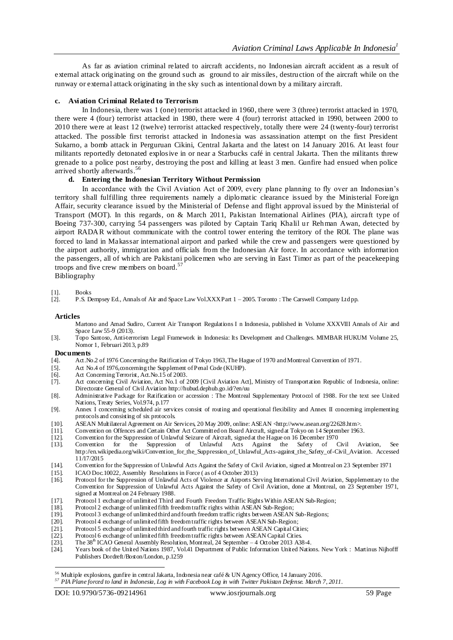As far as aviation criminal related to aircraft accidents, no Indonesian aircraft accident as a result of external attack originating on the ground such as ground to air missiles, destruction of the aircraft while on the runway or external attack originating in the sky such as intentional down by a military aircraft.

## **c. Aviation Criminal Related to Terrorism**

In Indonesia, there was 1 (one) terrorist attacked in 1960, there were 3 (three) terrorist attacked in 1970, there were 4 (four) terrorist attacked in 1980, there were 4 (four) terrorist attacked in 1990, between 2000 to 2010 there were at least 12 (twelve) terrorist attacked respectively, totally there were 24 (twenty-four) terrorist attacked. The possible first terrorist attacked in Indonesia was assassination attempt on the first President Sukarno, a bomb attack in Perguruan Cikini, Central Jakarta and the latest on 14 January 2016. At least four militants reportedly detonated explosive in or near a Starbucks café in central Jakarta. Then the militants threw grenade to a police post nearby, destroying the post and killing at least 3 men. Gunfire had ensued when police arrived shortly afterwards.<sup>56</sup>

## **d. Entering the Indonesian Territory Without Permission**

In accordance with the Civil Aviation Act of 2009, every plane planning to fly over an Indonesian's territory shall fulfilling three requirements namely a diplomatic clearance issued by the Ministerial Foreign Affair, security clearance issued by the Ministerial of Defense and flight approval issued by the Ministerial of Transport (MOT). In this regards, on & March 2011, Pakistan International Airlines (PIA), aircraft type of Boeing 737-300, carrying 54 passengers was piloted by Captain Tariq Khalil ur Rehman Awan, detected by airport RADAR without communicate with the control tower entering the territory of the ROI. The plane was forced to land in Makassar international airport and parked while the crew and passengers were questioned by the airport authority, immigration and officials from the Indonesian Air force. In accordance with information the passengers, all of which are Pakistani policemen who are serving in East Timor as part of the peacekeeping troops and five crew members on board.<sup>57</sup>

Bibliography

# [1]. Books<br>[2]. P.S. D

[2]. P.S. Dempsey Ed., Annals of Air and Space Law Vol.XXX Part 1 – 2005. Toronto : The Carswell Company Ltd pp.

#### **Articles**

- Martono and Amad Sudiro, Current Air Transport Regulations I n Indonesia, published in Volume XXXVIII Annals of Air and Space Law 55-9 (2013).
- [3]. Topo Santoso, Anti-terrorism Legal Framework in Indonesia: Its Development and Challenges. MIMBAR HUKUM Volume 25, Nomor 1, Februari 2013, p.89

# **Documents**<br>[4]. Act.No

- Act.No.2 of 1976 Concerning the Ratification of Tokyo 1963, The Hague of 1970 and Montreal Convention of 1971.
- [5]. Act No.4 of 1976, concerning the Supplement of Penal Code (KUHP).
- [6]. Act Concerning Terrorist, Act.No.15 of 2003.<br>[7]. Act concerning Civil Aviation, Act No.1 of 2
- Act concerning Civil Aviation, Act No.1 of 2009 [Civil Aviation Act], Ministry of Transportation Republic of Indonesia, online: Directorate General of Civil Aviatio[n http://hubud.dephub.go.id/?en/uu](http://hubud.dephub.go.id/?en/uu)
- [8]. Administrative Package for Ratification or accession : The Montreal Supplementary Protocol of 1988. For the text see United Nations, Treaty Series, Vol.974, p.177
- [9]. Annex I concerning scheduled air services consist of routing and operational flexibility and Annex II concerning implementing protocols and consisting of six protocols.
- [10]. ASEAN Multilateral Agreement on Air Services, 20 May 2009, online: ASEAN <http://www.asean.org/22628.htm>.
- [11]. Convention on Offences and Certain Other Act Committed on Board Aircraft, signed at Tokyo on 14 September 1963.<br>[12]. Convention for the Suppression of Unlawful Seizure of Aircraft, signed at the Hague on 16 December
- [12]. Convention for the Suppression of Unlawful Seizure of Aircraft, signed at the Hague on 16 December 1970
- [13]. Convention for the Suppression of Unlawful Acts Against the Safety of Civil Aviation, See [http://en.wikipedia.org/wiki/Convention\\_for\\_the\\_Suppression\\_of\\_Unlawful\\_Acts-against\\_the\\_Safety\\_of-Civil\\_Aviation. Accessed](http://en.wikipedia.org/wiki/Convention_for_the_Suppression_of_Unlawful_Acts-against_the_Safety_of-Civil_Aviation.%20Accessed%2011/17/2015)  [11/17/2015](http://en.wikipedia.org/wiki/Convention_for_the_Suppression_of_Unlawful_Acts-against_the_Safety_of-Civil_Aviation.%20Accessed%2011/17/2015)
- [14]. Convention for the Suppression of Unlawful Acts Against the Safety of Civil Aviation, signed at Montreal on 23 September 1971
- 
- [15]. ICAO Doc. 10022, Assembly Resolutions in Force (as of 4 October 2013) [16]. Protocol for the Suppression of Unlawful Acts of Violence at Airports Ser Protocol for the Suppression of Unlawful Acts of Violence at Airports Serving International Civil Aviation, Supplementary to the Convention for Suppression of Unlawful Acts Against the Safety of Civil Aviation, done at Montreal, on 23 September 1971, signed at Montreal on 24 February 1988.
- [17]. Protocol 1 exchange of unlimited Third and Fourth Freedom Traffic Rights Within ASEAN Sub-Region;<br>[18]. Protocol 2 exchange of unlimited fifth freedom traffic rights within ASEAN Sub-Region;
- [18]. Protocol 2 exchange of unlimited fifth freedom traffic rights within ASEAN Sub-Region;<br>[19]. Protocol 3 exchange of unlimited third and fourth freedom traffic rights between ASEAN
- Protocol 3 exchange of unlimited third and fourth freedom traffic rights between ASEAN Sub-Regions;
- [20]. Protocol 4 exchange of unlimited fifth freedom traffic rights between ASEAN Sub-Region;
- [21]. Protocol 5 exchange of unlimited third and fourth traffic rights between ASEAN Capital Cities;<br>[22]. Protocol 6 exchange of unlimited fifth freedom traffic rights between ASEAN Capital Cities;
- Protocol 6 exchange of unlimited fifth freedom traffic rights between ASEAN Capital Cities.
- [23]. The 38<sup>th</sup> ICAO General Assembly Resolution, Montreal, 24 September 4 October 2013 A38-4.
- [24]. Years book of the United Nations 1987, Vol.41 Department of Public Information United Nations. New York : Martinus Nijhofff Publishers Dordreft/Boston/London, p.1259

 $\overline{a}$ 

 $^{56}$  Multiple explosions, gunfire in central Jakarta, Indonesia near café & UN Agency Office, 14 January 2016.

*<sup>57</sup> PIA Plane forced to land in Indonesia, Log in with Facebook Log in with Twitter Pakistan Defense. March 7, 2011.*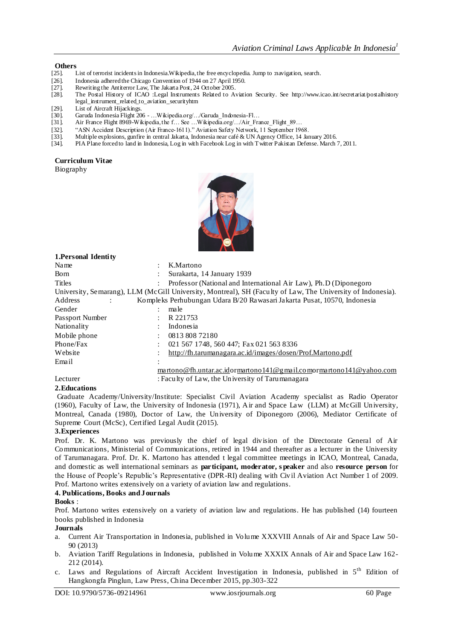# **Others**<br>[25]. **I**

- List of terrorist incidents in Indonesia.Wikipedia, the free encyclopedia. Jump to :navigation, search.
- [26]. Indonesia adhered the Chicago Convention of 1944 on 27 April 1950.<br>[27]. Rewriting the Antiterror Law, The Jakarta Post, 24 October 2005.
- [27]. Rewriting the Antiterror Law, The Jakarta Post, 24 October 2005.<br>[28]. The Postal History of ICAO :Legal Instruments Related to A
- [28]. The Postal History of ICAO :Legal Instruments Related to Aviation Security. See [http://www.icao.int/secretariat/postalhistory](http://www.icao.int/secretariat/postalhistory%20legal_instrument_related_to_aviation_securityhtm)  [legal\\_instrument\\_related\\_to\\_aviation\\_securityhtm](http://www.icao.int/secretariat/postalhistory%20legal_instrument_related_to_aviation_securityhtm)
- [29]. List of Aircraft Hijackings.<br>[30]. Garuda Indonesia Flight 20
- [30]. Garuda Indonesia Flight 206 …Wikipedia.org/…/Garuda\_Indonesia-Fl…
- [31]. Air France Flight 8969-Wikipedia, the f… See …Wikipedia.org/…/Air\_France\_Flight\_89…
- [32]. "ASN Accident Description (Air France-1611)." Aviation Safety Network, 11 September 1968.
- [33]. Multiple explosions, gunfire in central Jakarta, Indonesia near café & UN Agency Office, 14 January 2016.
- PIA Plane forced to land in Indonesia, Log in with Facebook Log in with Twitter Pakistan Defense. March 7, 2011.

# **Curriculum Vitae**

Biography



| 1. Personal Identity                                                                                        |                        |                                                                          |
|-------------------------------------------------------------------------------------------------------------|------------------------|--------------------------------------------------------------------------|
| Name                                                                                                        |                        | K.Martono                                                                |
| <b>Born</b>                                                                                                 |                        | Surakarta, 14 January 1939                                               |
| Titles                                                                                                      |                        | Professor (National and International Air Law), Ph.D (Diponegoro)        |
| University, Semarang), LLM (McGill University, Montreal), SH (Faculty of Law, The University of Indonesia). |                        |                                                                          |
| Address                                                                                                     |                        | Kompleks Perhubungan Udara B/20 Rawasari Jakarta Pusat, 10570, Indonesia |
| Gender                                                                                                      | $\bullet$              | ma le                                                                    |
| Passport Number                                                                                             |                        | R 221753                                                                 |
| Nationality                                                                                                 |                        | Indonesia                                                                |
| Mobile phone                                                                                                | $\bullet$              | 0813 808 72180                                                           |
| Phone/Fax                                                                                                   |                        | 021 567 1748, 560 447; Fax 021 563 8336                                  |
| Website                                                                                                     |                        | http://fh.tarumanagara.ac.id/images/dosen/Prof.Martono.pdf               |
| Email                                                                                                       | $\bullet$<br>$\bullet$ |                                                                          |
|                                                                                                             |                        | martono@fh.untar.ac.idormartono141@gmail.comormartono141@yahoo.com       |
| Lecturer                                                                                                    |                        | : Faculty of Law, the University of Tarumanagara                         |

# **2.Educations**

Graduate Academy/University/Institute: Specialist Civil Aviation Academy specialist as Radio Operator (1960), Faculty of Law, the University of Indonesia (1971), Air and Space Law (LLM) at McGill University, Montreal, Canada (1980), Doctor of Law, the University of Diponegoro (2006), Mediator Certificate of Supreme Court (McSc), Certified Legal Audit (2015).

## **3.Experiences**

Prof. Dr. K. Martono was previously the chief of legal division of the Directorate General of Air Communications, Ministerial of Communications, retired in 1944 and thereafter as a lecturer in the University of Tarumanagara. Prof. Dr. K. Martono has attended t legal committee meetings in ICAO, Montreal, Canada, and domestic as well international seminars as **participant, moderator, s peaker** and also **resource person** for the House of People's Republic's Representative (DPR-RI) dealing with Civil Aviation Act Number 1 of 2009. Prof. Martono writes extensively on a variety of aviation law and regulations.

## **4. Publications, Books and Journals**

**Books** :

Prof. Martono writes extensively on a variety of aviation law and regulations. He has published (14) fourteen books published in Indonesia

## **Journals**

- a. Current Air Transportation in Indonesia, published in Volume XXXVIII Annals of Air and Space Law 50- 90 (2013)
- b. Aviation Tariff Regulations in Indonesia, published in Volume XXXIX Annals of Air and Space Law 162- 212 (2014).
- c. Laws and Regulations of Aircraft Accident Investigation in Indonesia, published in 5<sup>th</sup> Edition of Hangkongfa Pinglun, Law Press, China December 2015, pp.303-322